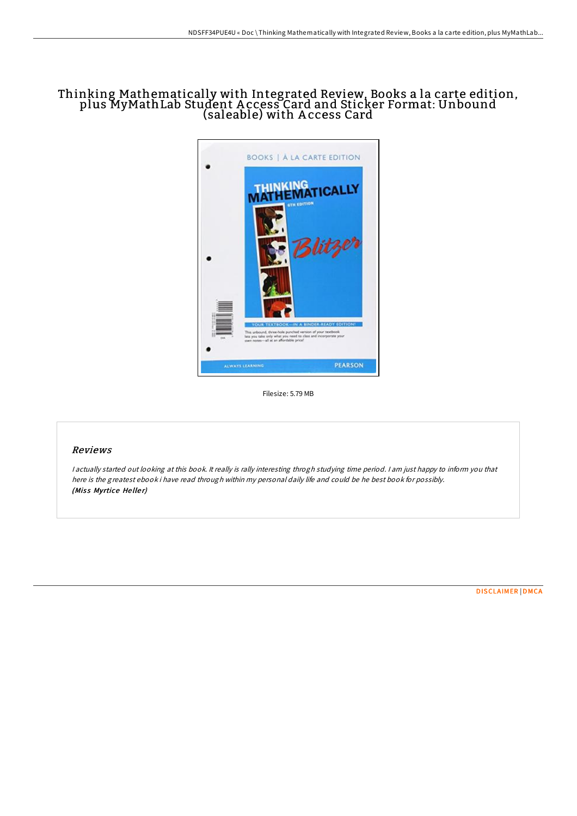## Thinking Mathematically with Integrated Review, Books a la carte edition, plus MyMathLab Student A ccess Card and Sticker Format: Unbound (saleable) with A ccess Card



Filesize: 5.79 MB

## Reviews

<sup>I</sup> actually started out looking at this book. It really is rally interesting throgh studying time period. <sup>I</sup> am just happy to inform you that here is the greatest ebook i have read through within my personal daily life and could be he best book for possibly. (Miss Myrtice Heller)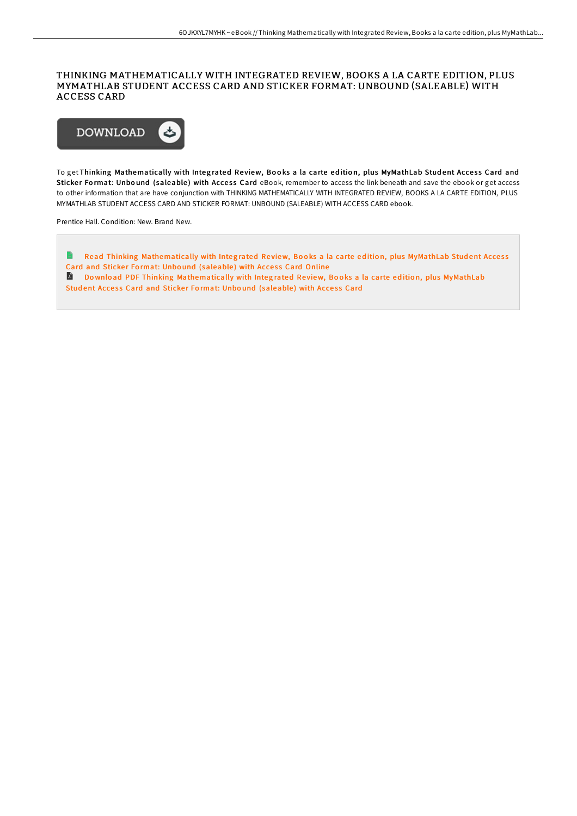## THINKING MATHEMATICALLY WITH INTEGRATED REVIEW, BOOKS A LA CARTE EDITION, PLUS MYMATHLAB STUDENT ACCESS CARD AND STICKER FORMAT: UNBOUND (SALEABLE) WITH ACCESS CARD



To get Thinking Mathematically with Integrated Review, Books a la carte edition, plus MyMathLab Student Access Card and Sticker Format: Unbound (saleable) with Access Card eBook, remember to access the link beneath and save the ebook or get access to other information that are have conjunction with THINKING MATHEMATICALLY WITH INTEGRATED REVIEW, BOOKS A LA CARTE EDITION, PLUS MYMATHLAB STUDENT ACCESS CARD AND STICKER FORMAT: UNBOUND (SALEABLE) WITH ACCESS CARD ebook.

Prentice Hall. Condition: New. Brand New.